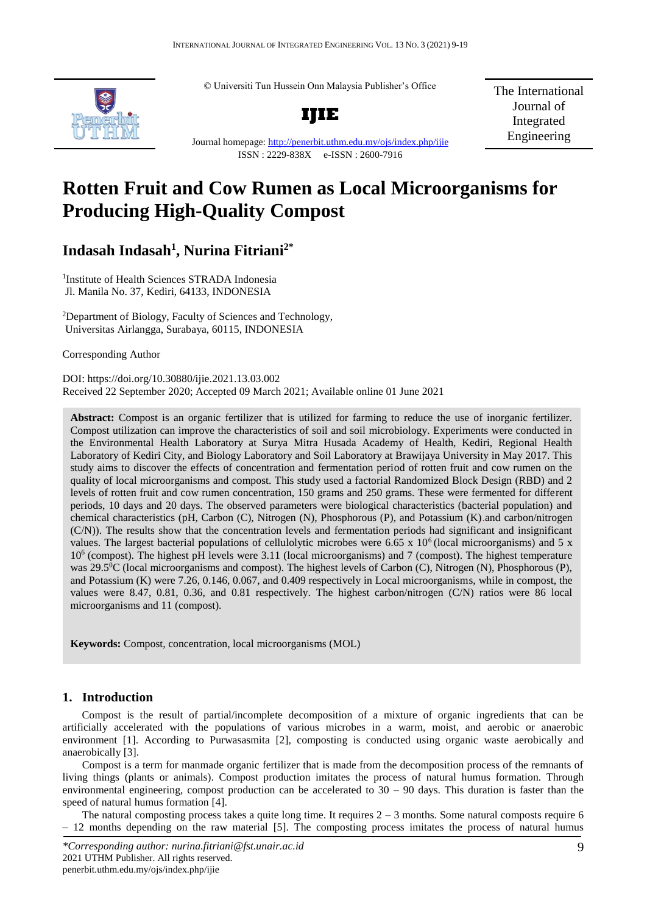© Universiti Tun Hussein Onn Malaysia Publisher's Office



**IJIE**

Journal homepage:<http://penerbit.uthm.edu.my/ojs/index.php/ijie>

The International Journal of Integrated Engineering

# ISSN : 2229-838X e-ISSN : 2600-7916

## **Rotten Fruit and Cow Rumen as Local Microorganisms for Producing High-Quality Compost**

### **Indasah Indasah<sup>1</sup> , Nurina Fitriani2\***

1 Institute of Health Sciences STRADA Indonesia Jl. Manila No. 37, Kediri, 64133, INDONESIA

<sup>2</sup>Department of Biology, Faculty of Sciences and Technology, Universitas Airlangga, Surabaya, 60115, INDONESIA

Corresponding Author

DOI: https://doi.org/10.30880/ijie.2021.13.03.002 Received 22 September 2020; Accepted 09 March 2021; Available online 01 June 2021

**Abstract:** Compost is an organic fertilizer that is utilized for farming to reduce the use of inorganic fertilizer. Compost utilization can improve the characteristics of soil and soil microbiology. Experiments were conducted in the Environmental Health Laboratory at Surya Mitra Husada Academy of Health, Kediri, Regional Health Laboratory of Kediri City, and Biology Laboratory and Soil Laboratory at Brawijaya University in May 2017. This study aims to discover the effects of concentration and fermentation period of rotten fruit and cow rumen on the quality of local microorganisms and compost. This study used a factorial Randomized Block Design (RBD) and 2 levels of rotten fruit and cow rumen concentration, 150 grams and 250 grams. These were fermented for different periods, 10 days and 20 days. The observed parameters were biological characteristics (bacterial population) and chemical characteristics (pH, Carbon (C), Nitrogen (N), Phosphorous (P), and Potassium (K).and carbon/nitrogen (C/N)). The results show that the concentration levels and fermentation periods had significant and insignificant values. The largest bacterial populations of cellulolytic microbes were 6.65 x  $10<sup>6</sup>$  (local microorganisms) and 5 x 10<sup>6</sup> (compost). The highest pH levels were 3.11 (local microorganisms) and 7 (compost). The highest temperature was 29.5<sup>o</sup>C (local microorganisms and compost). The highest levels of Carbon (C), Nitrogen (N), Phosphorous (P), and Potassium (K) were 7.26, 0.146, 0.067, and 0.409 respectively in Local microorganisms, while in compost, the values were 8.47, 0.81, 0.36, and 0.81 respectively. The highest carbon/nitrogen (C/N) ratios were 86 local microorganisms and 11 (compost).

**Keywords:** Compost, concentration, local microorganisms (MOL)

#### **1. Introduction**

Compost is the result of partial/incomplete decomposition of a mixture of organic ingredients that can be artificially accelerated with the populations of various microbes in a warm, moist, and aerobic or anaerobic environment [1]. According to Purwasasmita [2], composting is conducted using organic waste aerobically and anaerobically [3].

Compost is a term for manmade organic fertilizer that is made from the decomposition process of the remnants of living things (plants or animals). Compost production imitates the process of natural humus formation. Through environmental engineering, compost production can be accelerated to  $30 - 90$  days. This duration is faster than the speed of natural humus formation [4].

The natural composting process takes a quite long time. It requires  $2 - 3$  months. Some natural composts require 6 – 12 months depending on the raw material [5]. The composting process imitates the process of natural humus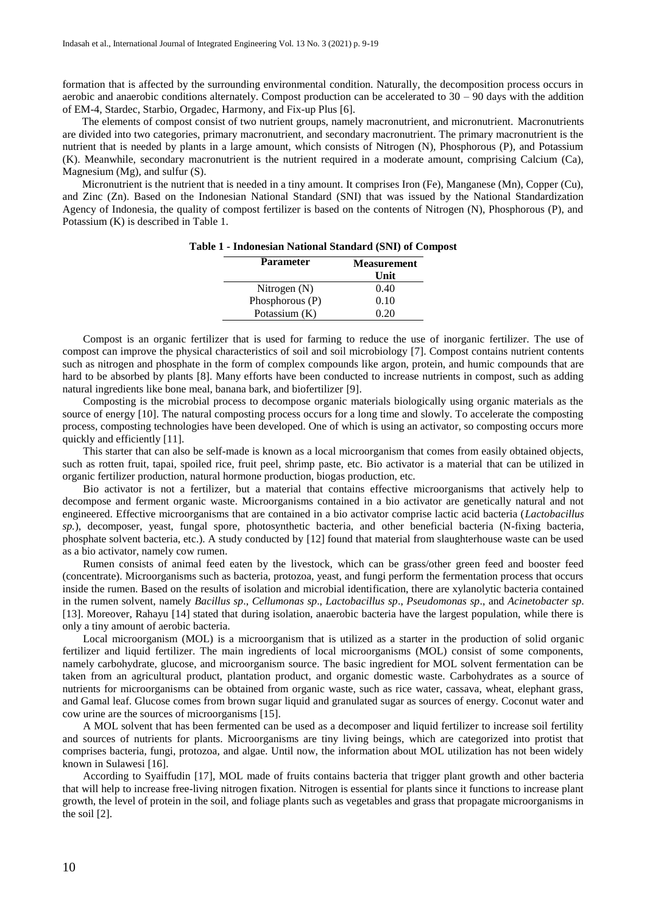formation that is affected by the surrounding environmental condition. Naturally, the decomposition process occurs in aerobic and anaerobic conditions alternately. Compost production can be accelerated to  $30 - 90$  days with the addition of EM-4, Stardec, Starbio, Orgadec, Harmony, and Fix-up Plus [6].

The elements of compost consist of two nutrient groups, namely macronutrient, and micronutrient. Macronutrients are divided into two categories, primary macronutrient, and secondary macronutrient. The primary macronutrient is the nutrient that is needed by plants in a large amount, which consists of Nitrogen (N), Phosphorous (P), and Potassium (K). Meanwhile, secondary macronutrient is the nutrient required in a moderate amount, comprising Calcium (Ca), Magnesium (Mg), and sulfur (S).

Micronutrient is the nutrient that is needed in a tiny amount. It comprises Iron (Fe), Manganese (Mn), Copper (Cu), and Zinc (Zn). Based on the Indonesian National Standard (SNI) that was issued by the National Standardization Agency of Indonesia, the quality of compost fertilizer is based on the contents of Nitrogen (N), Phosphorous (P), and Potassium (K) is described in Table 1.

| <b>Parameter</b>  | <b>Measurement</b> |
|-------------------|--------------------|
|                   | Unit               |
| Nitrogen $(N)$    | 0.40               |
| Phosphorous $(P)$ | 0.10               |
| Potassium (K)     | 0.20               |

**Table 1 - Indonesian National Standard (SNI) of Compost**

Compost is an organic fertilizer that is used for farming to reduce the use of inorganic fertilizer. The use of compost can improve the physical characteristics of soil and soil microbiology [7]. Compost contains nutrient contents such as nitrogen and phosphate in the form of complex compounds like argon, protein, and humic compounds that are hard to be absorbed by plants [8]. Many efforts have been conducted to increase nutrients in compost, such as adding natural ingredients like bone meal, banana bark, and biofertilizer [9].

Composting is the microbial process to decompose organic materials biologically using organic materials as the source of energy [10]. The natural composting process occurs for a long time and slowly. To accelerate the composting process, composting technologies have been developed. One of which is using an activator, so composting occurs more quickly and efficiently [11].

This starter that can also be self-made is known as a local microorganism that comes from easily obtained objects, such as rotten fruit, tapai, spoiled rice, fruit peel, shrimp paste, etc. Bio activator is a material that can be utilized in organic fertilizer production, natural hormone production, biogas production, etc.

Bio activator is not a fertilizer, but a material that contains effective microorganisms that actively help to decompose and ferment organic waste. Microorganisms contained in a bio activator are genetically natural and not engineered. Effective microorganisms that are contained in a bio activator comprise lactic acid bacteria (*Lactobacillus sp.*), decomposer, yeast, fungal spore, photosynthetic bacteria, and other beneficial bacteria (N-fixing bacteria, phosphate solvent bacteria, etc.). A study conducted by [12] found that material from slaughterhouse waste can be used as a bio activator, namely cow rumen.

Rumen consists of animal feed eaten by the livestock, which can be grass/other green feed and booster feed (concentrate). Microorganisms such as bacteria, protozoa, yeast, and fungi perform the fermentation process that occurs inside the rumen. Based on the results of isolation and microbial identification, there are xylanolytic bacteria contained in the rumen solvent, namely *Bacillus sp*., *Cellumonas sp*., *Lactobacillus sp*., *Pseudomonas sp*., and *Acinetobacter sp*. [13]. Moreover, Rahayu [14] stated that during isolation, anaerobic bacteria have the largest population, while there is only a tiny amount of aerobic bacteria.

Local microorganism (MOL) is a microorganism that is utilized as a starter in the production of solid organic fertilizer and liquid fertilizer. The main ingredients of local microorganisms (MOL) consist of some components, namely carbohydrate, glucose, and microorganism source. The basic ingredient for MOL solvent fermentation can be taken from an agricultural product, plantation product, and organic domestic waste. Carbohydrates as a source of nutrients for microorganisms can be obtained from organic waste, such as rice water, cassava, wheat, elephant grass, and Gamal leaf. Glucose comes from brown sugar liquid and granulated sugar as sources of energy. Coconut water and cow urine are the sources of microorganisms [15].

A MOL solvent that has been fermented can be used as a decomposer and liquid fertilizer to increase soil fertility and sources of nutrients for plants. Microorganisms are tiny living beings, which are categorized into protist that comprises bacteria, fungi, protozoa, and algae. Until now, the information about MOL utilization has not been widely known in Sulawesi [16].

According to Syaiffudin [17], MOL made of fruits contains bacteria that trigger plant growth and other bacteria that will help to increase free-living nitrogen fixation. Nitrogen is essential for plants since it functions to increase plant growth, the level of protein in the soil, and foliage plants such as vegetables and grass that propagate microorganisms in the soil [2].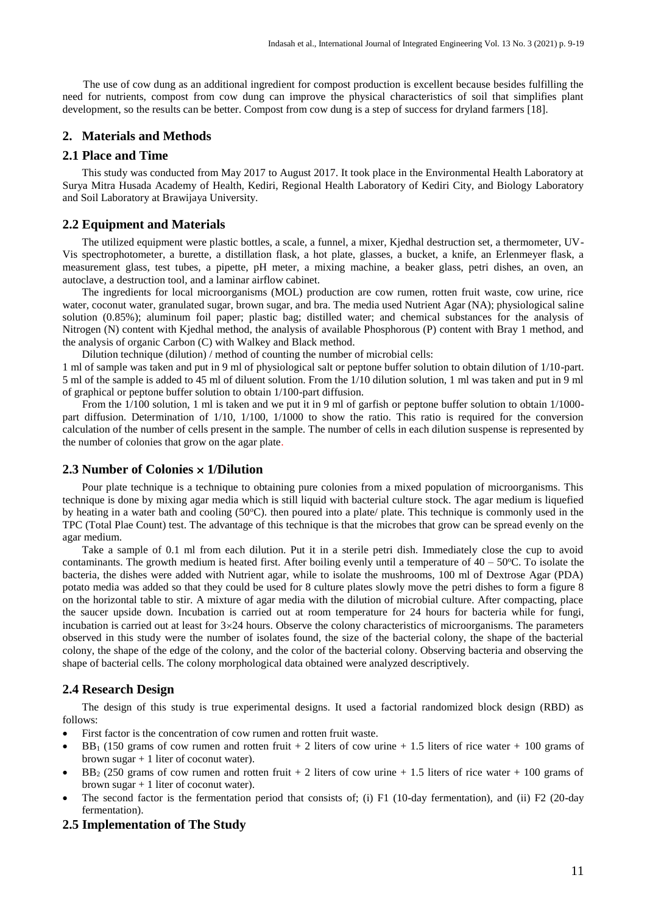The use of cow dung as an additional ingredient for compost production is excellent because besides fulfilling the need for nutrients, compost from cow dung can improve the physical characteristics of soil that simplifies plant development, so the results can be better. Compost from cow dung is a step of success for dryland farmers [18].

#### **2. Materials and Methods**

#### **2.1 Place and Time**

This study was conducted from May 2017 to August 2017. It took place in the Environmental Health Laboratory at Surya Mitra Husada Academy of Health, Kediri, Regional Health Laboratory of Kediri City, and Biology Laboratory and Soil Laboratory at Brawijaya University.

#### **2.2 Equipment and Materials**

The utilized equipment were plastic bottles, a scale, a funnel, a mixer, Kjedhal destruction set, a thermometer, UV-Vis spectrophotometer, a burette, a distillation flask, a hot plate, glasses, a bucket, a knife, an Erlenmeyer flask, a measurement glass, test tubes, a pipette, pH meter, a mixing machine, a beaker glass, petri dishes, an oven, an autoclave, a destruction tool, and a laminar airflow cabinet.

The ingredients for local microorganisms (MOL) production are cow rumen, rotten fruit waste, cow urine, rice water, coconut water, granulated sugar, brown sugar, and bra. The media used Nutrient Agar (NA); physiological saline solution (0.85%); aluminum foil paper; plastic bag; distilled water; and chemical substances for the analysis of Nitrogen (N) content with Kjedhal method, the analysis of available Phosphorous (P) content with Bray 1 method, and the analysis of organic Carbon (C) with Walkey and Black method.

Dilution technique (dilution) / method of counting the number of microbial cells:

1 ml of sample was taken and put in 9 ml of physiological salt or peptone buffer solution to obtain dilution of 1/10-part. 5 ml of the sample is added to 45 ml of diluent solution. From the 1/10 dilution solution, 1 ml was taken and put in 9 ml of graphical or peptone buffer solution to obtain 1/100-part diffusion.

From the 1/100 solution, 1 ml is taken and we put it in 9 ml of garfish or peptone buffer solution to obtain 1/1000part diffusion. Determination of 1/10, 1/100, 1/1000 to show the ratio. This ratio is required for the conversion calculation of the number of cells present in the sample. The number of cells in each dilution suspense is represented by the number of colonies that grow on the agar plate.

#### **2.3 Number of Colonies 1/Dilution**

Pour plate technique is a technique to obtaining pure colonies from a mixed population of microorganisms. This technique is done by mixing agar media which is still liquid with bacterial culture stock. The agar medium is liquefied by heating in a water bath and cooling (50°C). then poured into a plate/ plate. This technique is commonly used in the TPC (Total Plae Count) test. The advantage of this technique is that the microbes that grow can be spread evenly on the agar medium.

Take a sample of 0.1 ml from each dilution. Put it in a sterile petri dish. Immediately close the cup to avoid contaminants. The growth medium is heated first. After boiling evenly until a temperature of  $40 - 50^{\circ}$ C. To isolate the bacteria, the dishes were added with Nutrient agar, while to isolate the mushrooms, 100 ml of Dextrose Agar (PDA) potato media was added so that they could be used for 8 culture plates slowly move the petri dishes to form a figure 8 on the horizontal table to stir. A mixture of agar media with the dilution of microbial culture. After compacting, place the saucer upside down. Incubation is carried out at room temperature for 24 hours for bacteria while for fungi, incubation is carried out at least for  $3\times24$  hours. Observe the colony characteristics of microorganisms. The parameters observed in this study were the number of isolates found, the size of the bacterial colony, the shape of the bacterial colony, the shape of the edge of the colony, and the color of the bacterial colony. Observing bacteria and observing the shape of bacterial cells. The colony morphological data obtained were analyzed descriptively.

#### **2.4 Research Design**

The design of this study is true experimental designs. It used a factorial randomized block design (RBD) as follows:

- First factor is the concentration of cow rumen and rotten fruit waste.
- $BB<sub>1</sub>$  (150 grams of cow rumen and rotten fruit + 2 liters of cow urine + 1.5 liters of rice water + 100 grams of brown sugar  $+1$  liter of coconut water).
- $BB<sub>2</sub>$  (250 grams of cow rumen and rotten fruit + 2 liters of cow urine + 1.5 liters of rice water + 100 grams of brown sugar  $+1$  liter of coconut water).
- The second factor is the fermentation period that consists of; (i) F1 (10-day fermentation), and (ii) F2 (20-day fermentation).

#### **2.5 Implementation of The Study**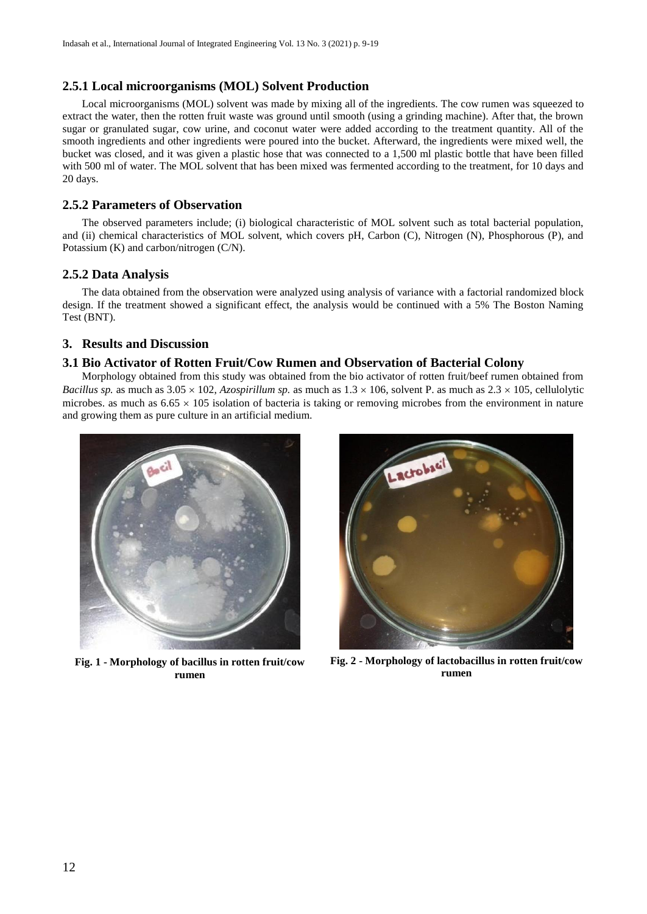#### **2.5.1 Local microorganisms (MOL) Solvent Production**

Local microorganisms (MOL) solvent was made by mixing all of the ingredients. The cow rumen was squeezed to extract the water, then the rotten fruit waste was ground until smooth (using a grinding machine). After that, the brown sugar or granulated sugar, cow urine, and coconut water were added according to the treatment quantity. All of the smooth ingredients and other ingredients were poured into the bucket. Afterward, the ingredients were mixed well, the bucket was closed, and it was given a plastic hose that was connected to a 1,500 ml plastic bottle that have been filled with 500 ml of water. The MOL solvent that has been mixed was fermented according to the treatment, for 10 days and 20 days.

#### **2.5.2 Parameters of Observation**

The observed parameters include; (i) biological characteristic of MOL solvent such as total bacterial population, and (ii) chemical characteristics of MOL solvent, which covers pH, Carbon (C), Nitrogen (N), Phosphorous (P), and Potassium (K) and carbon/nitrogen (C/N).

#### **2.5.2 Data Analysis**

The data obtained from the observation were analyzed using analysis of variance with a factorial randomized block design. If the treatment showed a significant effect, the analysis would be continued with a 5% The Boston Naming Test (BNT).

#### **3. Results and Discussion**

#### **3.1 Bio Activator of Rotten Fruit/Cow Rumen and Observation of Bacterial Colony**

Morphology obtained from this study was obtained from the bio activator of rotten fruit/beef rumen obtained from *Bacillus sp.* as much as  $3.05 \times 102$ , *Azospirillum sp.* as much as  $1.3 \times 106$ , solvent P. as much as  $2.3 \times 105$ , cellulolytic microbes. as much as  $6.65 \times 105$  isolation of bacteria is taking or removing microbes from the environment in nature and growing them as pure culture in an artificial medium.



**Fig. 1 - Morphology of bacillus in rotten fruit/cow rumen**



**Fig. 2 - Morphology of lactobacillus in rotten fruit/cow rumen**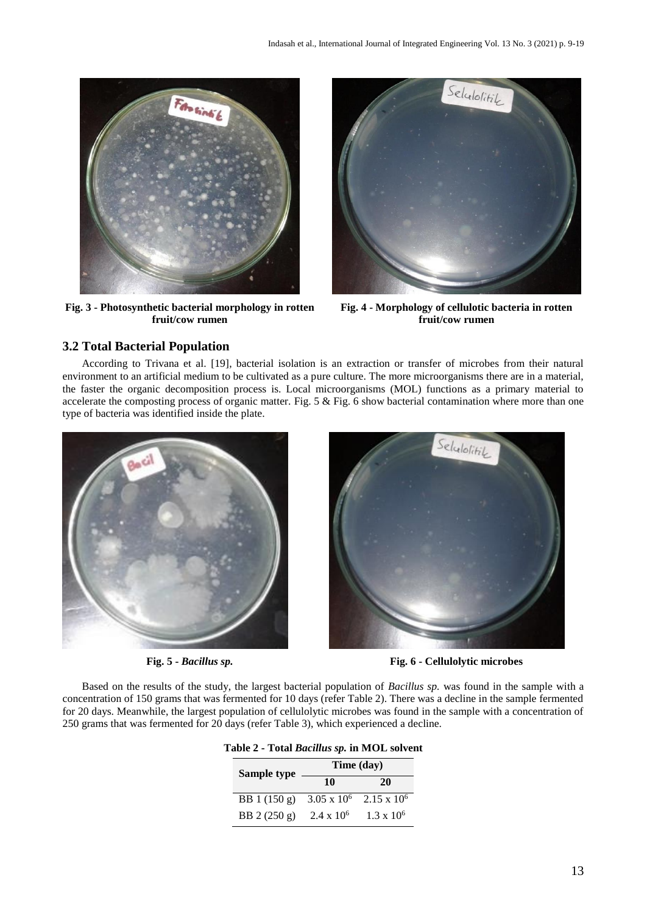

**Fig. 3 - Photosynthetic bacterial morphology in rotten fruit/cow rumen**



**Fig. 4 - Morphology of cellulotic bacteria in rotten fruit/cow rumen**

### **3.2 Total Bacterial Population**

According to Trivana et al. [19], bacterial isolation is an extraction or transfer of microbes from their natural environment to an artificial medium to be cultivated as a pure culture. The more microorganisms there are in a material, the faster the organic decomposition process is. Local microorganisms (MOL) functions as a primary material to accelerate the composting process of organic matter. Fig. 5  $\&$  Fig. 6 show bacterial contamination where more than one type of bacteria was identified inside the plate.





**Fig. 5 -** *Bacillus sp.* **Fig. 6 - Cellulolytic microbes**

Based on the results of the study, the largest bacterial population of *Bacillus sp.* was found in the sample with a concentration of 150 grams that was fermented for 10 days (refer Table 2). There was a decline in the sample fermented for 20 days. Meanwhile, the largest population of cellulolytic microbes was found in the sample with a concentration of 250 grams that was fermented for 20 days (refer Table 3), which experienced a decline.

| Sample type   | $\mu$ <sub>0</sub> $\mu$ - 1 $\sigma$ 0 $\mu$ <i>Ductions sp.</i> In $\mu$ OD solver<br>Time (day) |                    |  |
|---------------|----------------------------------------------------------------------------------------------------|--------------------|--|
|               | 10<br>20                                                                                           |                    |  |
| BB $1(150 g)$ | $3.05 \times 10^6$                                                                                 | $2.15 \times 10^6$ |  |
| BB 2 (250 g)  | $2.4 \times 10^6$                                                                                  | $1.3 \times 10^6$  |  |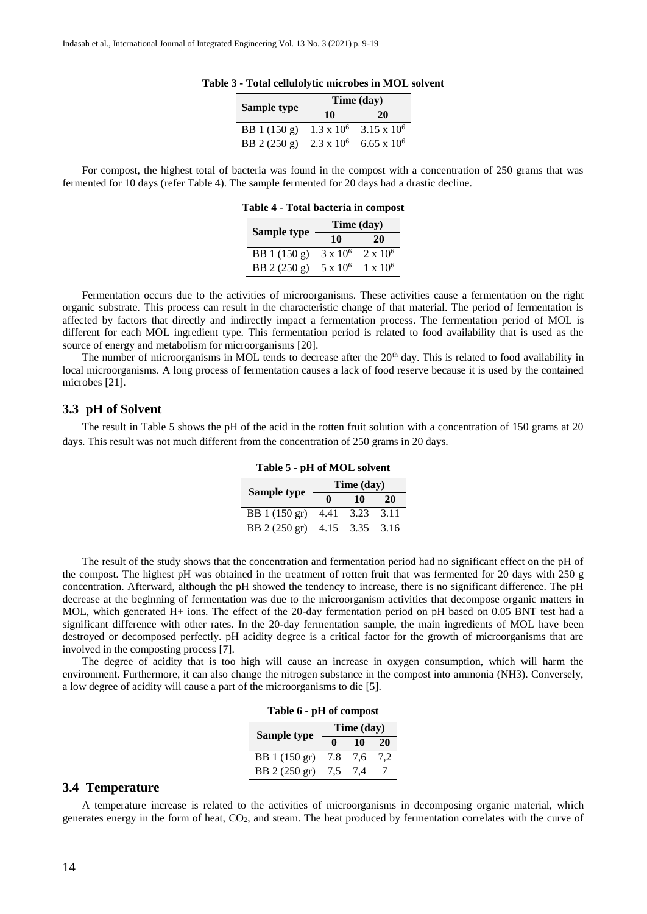| Sample type  | Time (day)        |                    |  |
|--------------|-------------------|--------------------|--|
|              | 10                | 20                 |  |
| BB 1 (150 g) | $1.3 \times 10^6$ | $3.15 \times 10^6$ |  |
| BB 2 (250 g) | $2.3 \times 10^6$ | 6.65 x $106$       |  |

#### **Table 3 - Total cellulolytic microbes in MOL solvent**

For compost, the highest total of bacteria was found in the compost with a concentration of 250 grams that was fermented for 10 days (refer Table 4). The sample fermented for 20 days had a drastic decline.

| Table 4 - Total bacteria in compost |                 |                 |  |  |
|-------------------------------------|-----------------|-----------------|--|--|
|                                     | Time (day)      |                 |  |  |
| Sample type                         | 10              | 20              |  |  |
| BB 1 (150 g)                        | $3 \times 10^6$ | $2 \times 10^6$ |  |  |
| BB 2 (250 g)                        | $5 \times 10^6$ | $1 \times 10^6$ |  |  |

|  |  | $1400 \tau$ - Total bacteria in compost |  |  |
|--|--|-----------------------------------------|--|--|
|  |  |                                         |  |  |

Fermentation occurs due to the activities of microorganisms. These activities cause a fermentation on the right organic substrate. This process can result in the characteristic change of that material. The period of fermentation is affected by factors that directly and indirectly impact a fermentation process. The fermentation period of MOL is different for each MOL ingredient type. This fermentation period is related to food availability that is used as the source of energy and metabolism for microorganisms [20].

The number of microorganisms in MOL tends to decrease after the 20<sup>th</sup> day. This is related to food availability in local microorganisms. A long process of fermentation causes a lack of food reserve because it is used by the contained microbes [21].

#### **3.3 pH of Solvent**

The result in Table 5 shows the pH of the acid in the rotten fruit solution with a concentration of 150 grams at 20 days. This result was not much different from the concentration of 250 grams in 20 days.

| Sample type   | Time (day) |      |      |
|---------------|------------|------|------|
|               | A<br>10    |      | 20   |
| BB 1 (150 gr) | 4.41       | 3.23 | 3.11 |
| BB 2 (250 gr) | 4.15       | 3.35 | 3.16 |

**Table 5 - pH of MOL solvent**

The result of the study shows that the concentration and fermentation period had no significant effect on the pH of the compost. The highest pH was obtained in the treatment of rotten fruit that was fermented for 20 days with 250 g concentration. Afterward, although the pH showed the tendency to increase, there is no significant difference. The pH decrease at the beginning of fermentation was due to the microorganism activities that decompose organic matters in MOL, which generated H+ ions. The effect of the 20-day fermentation period on pH based on 0.05 BNT test had a significant difference with other rates. In the 20-day fermentation sample, the main ingredients of MOL have been destroyed or decomposed perfectly. pH acidity degree is a critical factor for the growth of microorganisms that are involved in the composting process [7].

The degree of acidity that is too high will cause an increase in oxygen consumption, which will harm the environment. Furthermore, it can also change the nitrogen substance in the compost into ammonia (NH3). Conversely, a low degree of acidity will cause a part of the microorganisms to die [5].

| Table 6 - pH of compost |             |            |    |
|-------------------------|-------------|------------|----|
|                         |             | Time (day) |    |
| Sample type             |             | 10         | 20 |
| BB 1 (150 gr)           | 7.8 7,6 7.2 |            |    |
| BB 2 (250 gr)           | 7,5         | -7.4       |    |

#### **3.4 Temperature**

A temperature increase is related to the activities of microorganisms in decomposing organic material, which generates energy in the form of heat, CO2, and steam. The heat produced by fermentation correlates with the curve of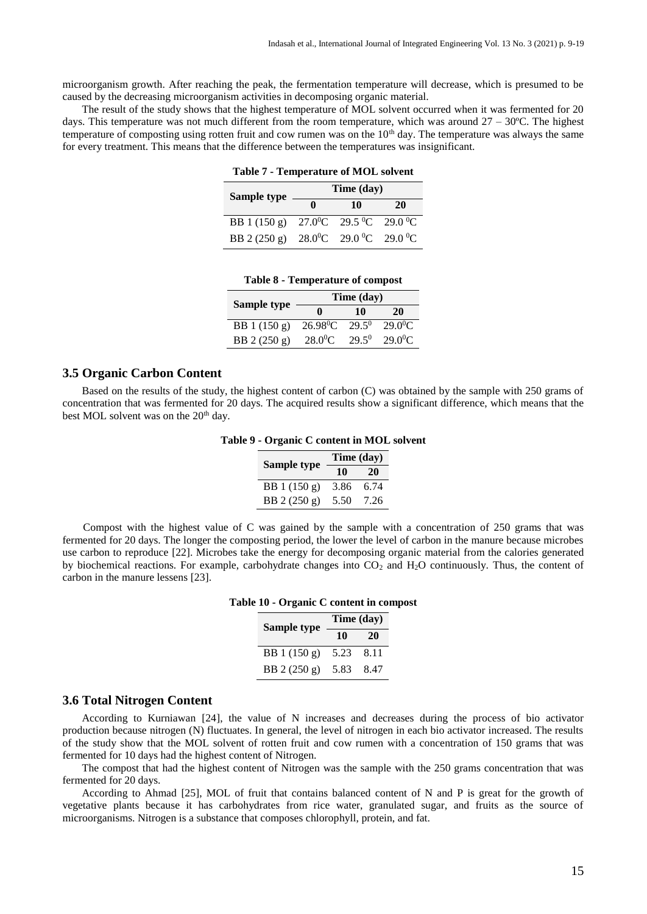microorganism growth. After reaching the peak, the fermentation temperature will decrease, which is presumed to be caused by the decreasing microorganism activities in decomposing organic material.

The result of the study shows that the highest temperature of MOL solvent occurred when it was fermented for 20 days. This temperature was not much different from the room temperature, which was around  $27 - 30^{\circ}$ C. The highest temperature of composting using rotten fruit and cow rumen was on the  $10<sup>th</sup>$  day. The temperature was always the same for every treatment. This means that the difference between the temperatures was insignificant.

**Table 7 - Temperature of MOL solvent**

| Sample type                         | Time (day) |    |    |  |
|-------------------------------------|------------|----|----|--|
|                                     | ∩          | 10 | 20 |  |
| BB 1 (150 g) 27.0°C 29.5 °C 29.0 °C |            |    |    |  |
| BB 2 (250 g) 28.0°C 29.0 °C 29.0 °C |            |    |    |  |

|              | тарк о - тетреташте от сотрож |          |                       |  |
|--------------|-------------------------------|----------|-----------------------|--|
|              | Time (day)                    |          |                       |  |
| Sample type  | 0                             | 10       | 20                    |  |
| BB 1 (150 g) | $26.98^{\circ}$ C             | $29.5^0$ | $29.0$ <sup>o</sup> C |  |
| BB 2 (250 g) | $28.0$ <sup>o</sup> C         | 29.50    | $29.0^{\circ}$ C      |  |

#### **Table 8 - Temperature of compost**

#### **3.5 Organic Carbon Content**

Based on the results of the study, the highest content of carbon (C) was obtained by the sample with 250 grams of concentration that was fermented for 20 days. The acquired results show a significant difference, which means that the best MOL solvent was on the 20<sup>th</sup> day.

**Table 9 - Organic C content in MOL solvent**

| Sample type  | Time (day) |      |
|--------------|------------|------|
|              | 10         | 20   |
| BB 1 (150 g) | 3.86       | 6.74 |
| BB 2 (250 g) | 5.50       | 7.26 |

Compost with the highest value of C was gained by the sample with a concentration of 250 grams that was fermented for 20 days. The longer the composting period, the lower the level of carbon in the manure because microbes use carbon to reproduce [22]. Microbes take the energy for decomposing organic material from the calories generated by biochemical reactions. For example, carbohydrate changes into  $CO<sub>2</sub>$  and H<sub>2</sub>O continuously. Thus, the content of carbon in the manure lessens [23].

| Sample type  | Time (day) |      |  |
|--------------|------------|------|--|
|              | 10         | 20   |  |
| BB 1 (150 g) | 5.23       | 8.11 |  |
| BB 2 (250 g) | 5.83       | 8.47 |  |

**Table 10 - Organic C content in compost**

#### **3.6 Total Nitrogen Content**

According to Kurniawan [24], the value of N increases and decreases during the process of bio activator production because nitrogen (N) fluctuates. In general, the level of nitrogen in each bio activator increased. The results of the study show that the MOL solvent of rotten fruit and cow rumen with a concentration of 150 grams that was fermented for 10 days had the highest content of Nitrogen.

The compost that had the highest content of Nitrogen was the sample with the 250 grams concentration that was fermented for 20 days.

According to Ahmad [25], MOL of fruit that contains balanced content of N and P is great for the growth of vegetative plants because it has carbohydrates from rice water, granulated sugar, and fruits as the source of microorganisms. Nitrogen is a substance that composes chlorophyll, protein, and fat.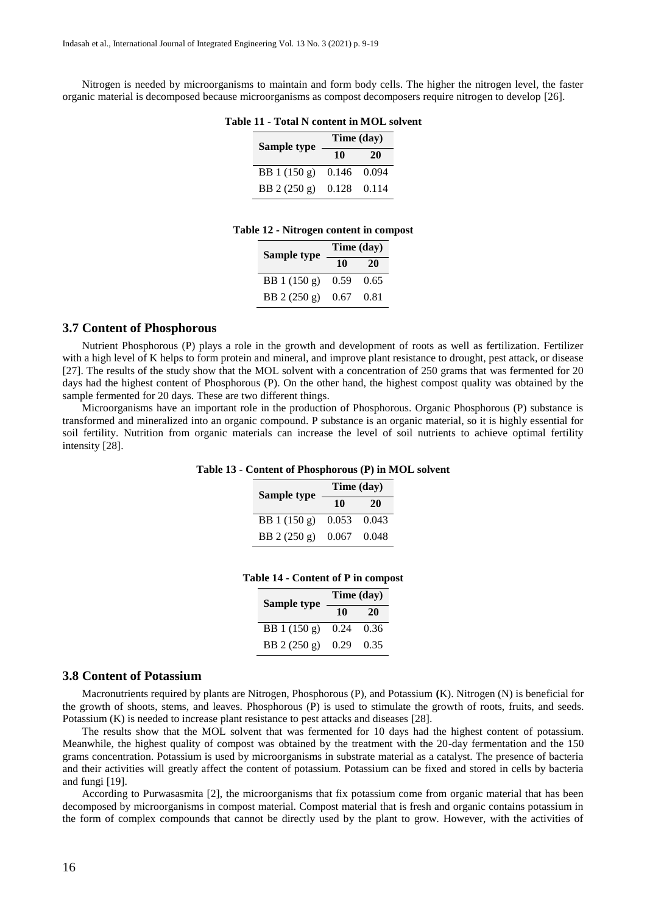Nitrogen is needed by microorganisms to maintain and form body cells. The higher the nitrogen level, the faster organic material is decomposed because microorganisms as compost decomposers require nitrogen to develop [26].

| Table 11 - Total N content in MOL solvent |                                   |            |    |  |  |  |
|-------------------------------------------|-----------------------------------|------------|----|--|--|--|
|                                           | Sample type                       | Time (day) |    |  |  |  |
|                                           |                                   | 10         | 20 |  |  |  |
|                                           | BB 1 $(150 g)$ 0.146 0.094        |            |    |  |  |  |
|                                           | BB $2(250 \text{ g})$ 0.128 0.114 |            |    |  |  |  |

#### **Table 12 - Nitrogen content in compost**

| Sample type  | Time (day) |      |  |
|--------------|------------|------|--|
|              | 10         | 20   |  |
| BB 1 (150 g) | 0.59       | 0.65 |  |
| BB 2 (250 g) | 0.67       | 0.81 |  |

#### **3.7 Content of Phosphorous**

Nutrient Phosphorous (P) plays a role in the growth and development of roots as well as fertilization. Fertilizer with a high level of K helps to form protein and mineral, and improve plant resistance to drought, pest attack, or disease [27]. The results of the study show that the MOL solvent with a concentration of 250 grams that was fermented for 20 days had the highest content of Phosphorous (P). On the other hand, the highest compost quality was obtained by the sample fermented for 20 days. These are two different things.

Microorganisms have an important role in the production of Phosphorous. Organic Phosphorous (P) substance is transformed and mineralized into an organic compound. P substance is an organic material, so it is highly essential for soil fertility. Nutrition from organic materials can increase the level of soil nutrients to achieve optimal fertility intensity [28].

#### **Table 13 - Content of Phosphorous (P) in MOL solvent**

| Sample type  | Time (day) |       |  |
|--------------|------------|-------|--|
|              | 10         | 20    |  |
| BB 1 (150 g) | 0.053      | 0.043 |  |
| BB 2 (250 g) | 0.067      | 0.048 |  |

#### **Table 14 - Content of P in compost**

| Sample type   | Time (day) |      |  |
|---------------|------------|------|--|
|               | 10         | 20   |  |
| BB 1 (150 g)  | 0.24       | 0.36 |  |
| BB $2(250 g)$ | 0.29       | 0.35 |  |

#### **3.8 Content of Potassium**

Macronutrients required by plants are Nitrogen, Phosphorous (P), and Potassium **(**K). Nitrogen (N) is beneficial for the growth of shoots, stems, and leaves. Phosphorous (P) is used to stimulate the growth of roots, fruits, and seeds. Potassium (K) is needed to increase plant resistance to pest attacks and diseases [28].

The results show that the MOL solvent that was fermented for 10 days had the highest content of potassium. Meanwhile, the highest quality of compost was obtained by the treatment with the 20-day fermentation and the 150 grams concentration. Potassium is used by microorganisms in substrate material as a catalyst. The presence of bacteria and their activities will greatly affect the content of potassium. Potassium can be fixed and stored in cells by bacteria and fungi [19].

According to Purwasasmita [2], the microorganisms that fix potassium come from organic material that has been decomposed by microorganisms in compost material. Compost material that is fresh and organic contains potassium in the form of complex compounds that cannot be directly used by the plant to grow. However, with the activities of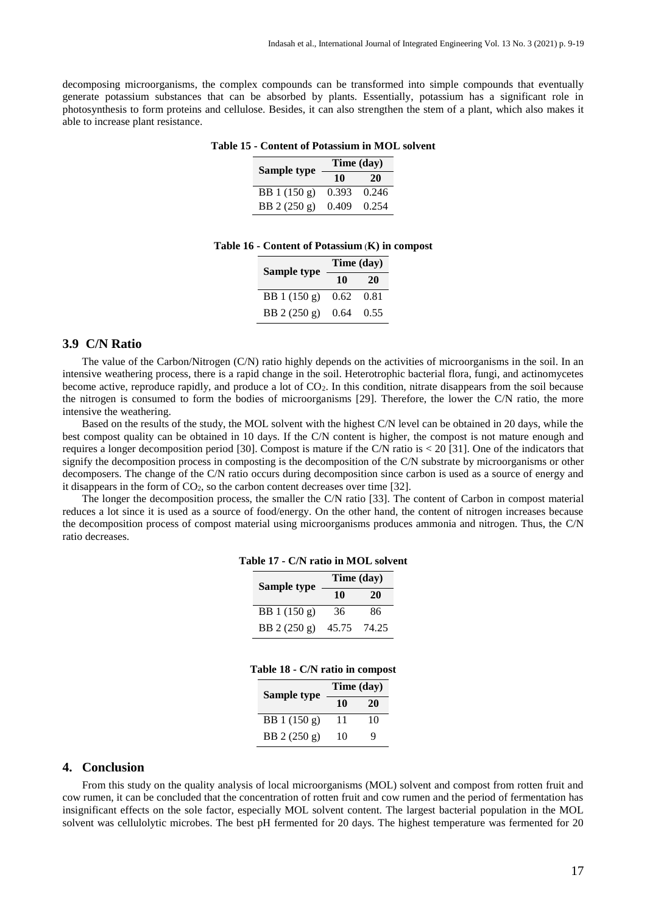decomposing microorganisms, the complex compounds can be transformed into simple compounds that eventually generate potassium substances that can be absorbed by plants. Essentially, potassium has a significant role in photosynthesis to form proteins and cellulose. Besides, it can also strengthen the stem of a plant, which also makes it able to increase plant resistance.

| <u>Convent of a overgream material</u> p |             |       |  |
|------------------------------------------|-------------|-------|--|
| Sample type                              | Time (day)  |       |  |
|                                          | 10          | 20    |  |
| BB 1 (150 g)                             | 0.393 0.246 |       |  |
| BB $2(250 g)$                            | 0.409       | 0.254 |  |

**Table 15 - Content of Potassium in MOL solvent**

| Table 16 - Content of Potassium (K) in compost |  |  |  |  |  |  |  |
|------------------------------------------------|--|--|--|--|--|--|--|
|------------------------------------------------|--|--|--|--|--|--|--|

| Sample type  | Time (day) |      |  |
|--------------|------------|------|--|
|              | 10         | 20   |  |
| BB 1 (150 g) | 0.62       | 0.81 |  |
| BB 2 (250 g) | 0.64       | 0.55 |  |

#### **3.9 C/N Ratio**

The value of the Carbon/Nitrogen (C/N) ratio highly depends on the activities of microorganisms in the soil. In an intensive weathering process, there is a rapid change in the soil. Heterotrophic bacterial flora, fungi, and actinomycetes become active, reproduce rapidly, and produce a lot of  $CO<sub>2</sub>$ . In this condition, nitrate disappears from the soil because the nitrogen is consumed to form the bodies of microorganisms [29]. Therefore, the lower the C/N ratio, the more intensive the weathering.

Based on the results of the study, the MOL solvent with the highest C/N level can be obtained in 20 days, while the best compost quality can be obtained in 10 days. If the C/N content is higher, the compost is not mature enough and requires a longer decomposition period [30]. Compost is mature if the C/N ratio is < 20 [31]. One of the indicators that signify the decomposition process in composting is the decomposition of the C/N substrate by microorganisms or other decomposers. The change of the C/N ratio occurs during decomposition since carbon is used as a source of energy and it disappears in the form of  $CO<sub>2</sub>$ , so the carbon content decreases over time [32].

The longer the decomposition process, the smaller the C/N ratio [33]. The content of Carbon in compost material reduces a lot since it is used as a source of food/energy. On the other hand, the content of nitrogen increases because the decomposition process of compost material using microorganisms produces ammonia and nitrogen. Thus, the C/N ratio decreases.

| Sample type  | Time (day) |       |  |
|--------------|------------|-------|--|
|              | 10         | 20    |  |
| BB 1 (150 g) | 36         | 86    |  |
| BB 2 (250 g) | 45.75      | 74.25 |  |

#### **Table 17 - C/N ratio in MOL solvent**

#### **Table 18 - C/N ratio in compost**

| Sample type  | Time (day) |    |  |
|--------------|------------|----|--|
|              | 10         | 20 |  |
| BB 1 (150 g) | 11         | 10 |  |
| BB 2 (250 g) | 10         | Q  |  |

#### **4. Conclusion**

From this study on the quality analysis of local microorganisms (MOL) solvent and compost from rotten fruit and cow rumen, it can be concluded that the concentration of rotten fruit and cow rumen and the period of fermentation has insignificant effects on the sole factor, especially MOL solvent content. The largest bacterial population in the MOL solvent was cellulolytic microbes. The best pH fermented for 20 days. The highest temperature was fermented for 20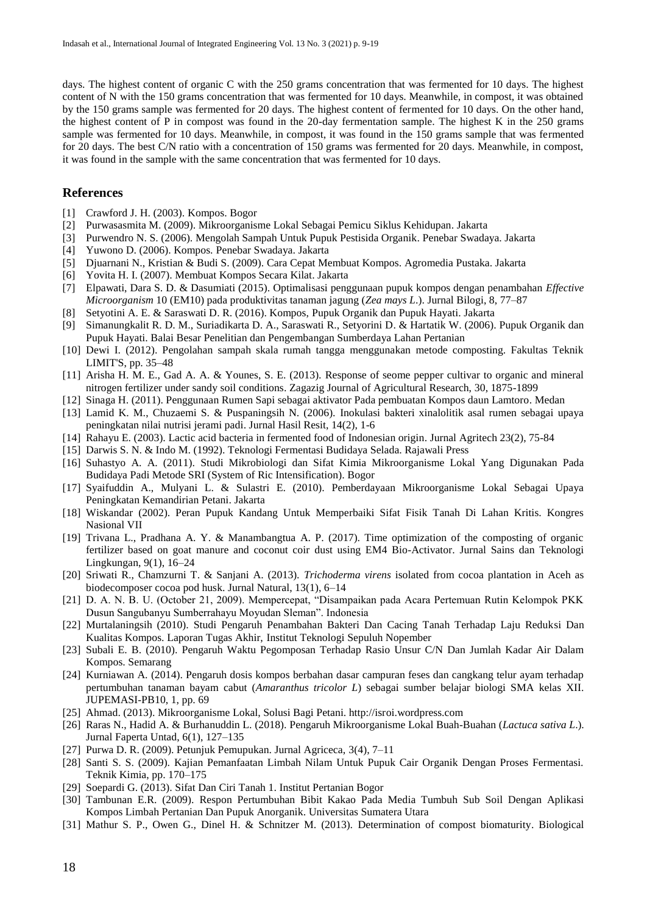days. The highest content of organic C with the 250 grams concentration that was fermented for 10 days. The highest content of N with the 150 grams concentration that was fermented for 10 days. Meanwhile, in compost, it was obtained by the 150 grams sample was fermented for 20 days. The highest content of fermented for 10 days. On the other hand, the highest content of P in compost was found in the 20-day fermentation sample. The highest K in the 250 grams sample was fermented for 10 days. Meanwhile, in compost, it was found in the 150 grams sample that was fermented for 20 days. The best C/N ratio with a concentration of 150 grams was fermented for 20 days. Meanwhile, in compost, it was found in the sample with the same concentration that was fermented for 10 days.

#### **References**

- [1] Crawford J. H. (2003). Kompos. Bogor
- [2] Purwasasmita M. (2009). Mikroorganisme Lokal Sebagai Pemicu Siklus Kehidupan. Jakarta
- [3] Purwendro N. S. (2006). Mengolah Sampah Untuk Pupuk Pestisida Organik. Penebar Swadaya. Jakarta
- [4] Yuwono D. (2006). Kompos. Penebar Swadaya. Jakarta
- [5] Djuarnani N., Kristian & Budi S. (2009). Cara Cepat Membuat Kompos. Agromedia Pustaka. Jakarta
- [6] Yovita H. I. (2007). Membuat Kompos Secara Kilat. Jakarta
- [7] Elpawati, Dara S. D. & Dasumiati (2015). Optimalisasi penggunaan pupuk kompos dengan penambahan *Effective Microorganism* 10 (EM10) pada produktivitas tanaman jagung (*Zea mays L*.). Jurnal Bilogi, 8, 77–87
- [8] Setyotini A. E. & Saraswati D. R. (2016). Kompos, Pupuk Organik dan Pupuk Hayati. Jakarta
- [9] Simanungkalit R. D. M., Suriadikarta D. A., Saraswati R., Setyorini D. & Hartatik W. (2006). Pupuk Organik dan Pupuk Hayati. Balai Besar Penelitian dan Pengembangan Sumberdaya Lahan Pertanian
- [10] Dewi I. (2012). Pengolahan sampah skala rumah tangga menggunakan metode composting. Fakultas Teknik LIMIT'S, pp. 35–48
- [11] Arisha H. M. E., Gad A. A. & Younes, S. E. (2013). Response of seome pepper cultivar to organic and mineral nitrogen fertilizer under sandy soil conditions. Zagazig Journal of Agricultural Research, 30, 1875-1899
- [12] Sinaga H. (2011). Penggunaan Rumen Sapi sebagai aktivator Pada pembuatan Kompos daun Lamtoro. Medan
- [13] Lamid K. M., Chuzaemi S. & Puspaningsih N. (2006). Inokulasi bakteri xinalolitik asal rumen sebagai upaya peningkatan nilai nutrisi jerami padi. Jurnal Hasil Resit, 14(2), 1-6
- [14] Rahayu E. (2003). Lactic acid bacteria in fermented food of Indonesian origin. Jurnal Agritech 23(2), 75-84
- [15] Darwis S. N. & Indo M. (1992). Teknologi Fermentasi Budidaya Selada. Rajawali Press
- [16] Suhastyo A. A. (2011). Studi Mikrobiologi dan Sifat Kimia Mikroorganisme Lokal Yang Digunakan Pada Budidaya Padi Metode SRI (System of Ric Intensification). Bogor
- [17] Syaifuddin A., Mulyani L. & Sulastri E. (2010). Pemberdayaan Mikroorganisme Lokal Sebagai Upaya Peningkatan Kemandirian Petani. Jakarta
- [18] Wiskandar (2002). Peran Pupuk Kandang Untuk Memperbaiki Sifat Fisik Tanah Di Lahan Kritis. Kongres Nasional VII
- [19] Trivana L., Pradhana A. Y. & Manambangtua A. P. (2017). Time optimization of the composting of organic fertilizer based on goat manure and coconut coir dust using EM4 Bio-Activator. Jurnal Sains dan Teknologi Lingkungan, 9(1), 16–24
- [20] Sriwati R., Chamzurni T. & Sanjani A. (2013). *Trichoderma virens* isolated from cocoa plantation in Aceh as biodecomposer cocoa pod husk. Jurnal Natural, 13(1), 6–14
- [21] D. A. N. B. U. (October 21, 2009). Mempercepat, "Disampaikan pada Acara Pertemuan Rutin Kelompok PKK Dusun Sangubanyu Sumberrahayu Moyudan Sleman". Indonesia
- [22] Murtalaningsih (2010). Studi Pengaruh Penambahan Bakteri Dan Cacing Tanah Terhadap Laju Reduksi Dan Kualitas Kompos. Laporan Tugas Akhir, Institut Teknologi Sepuluh Nopember
- [23] Subali E. B. (2010). Pengaruh Waktu Pegomposan Terhadap Rasio Unsur C/N Dan Jumlah Kadar Air Dalam Kompos. Semarang
- [24] Kurniawan A. (2014). Pengaruh dosis kompos berbahan dasar campuran feses dan cangkang telur ayam terhadap pertumbuhan tanaman bayam cabut (*Amaranthus tricolor L*) sebagai sumber belajar biologi SMA kelas XII. JUPEMASI-PB10, 1, pp. 69
- [25] Ahmad. (2013). Mikroorganisme Lokal, Solusi Bagi Petani. http://isroi.wordpress.com
- [26] Raras N., Hadid A. & Burhanuddin L. (2018). Pengaruh Mikroorganisme Lokal Buah-Buahan (*Lactuca sativa L*.). Jurnal Faperta Untad, 6(1), 127–135
- [27] Purwa D. R. (2009). Petunjuk Pemupukan. Jurnal Agriceca, 3(4), 7–11
- [28] Santi S. S. (2009). Kajian Pemanfaatan Limbah Nilam Untuk Pupuk Cair Organik Dengan Proses Fermentasi. Teknik Kimia, pp. 170–175
- [29] Soepardi G. (2013). Sifat Dan Ciri Tanah 1. Institut Pertanian Bogor
- [30] Tambunan E.R. (2009). Respon Pertumbuhan Bibit Kakao Pada Media Tumbuh Sub Soil Dengan Aplikasi Kompos Limbah Pertanian Dan Pupuk Anorganik. Universitas Sumatera Utara
- [31] Mathur S. P., Owen G., Dinel H. & Schnitzer M. (2013). Determination of compost biomaturity. Biological